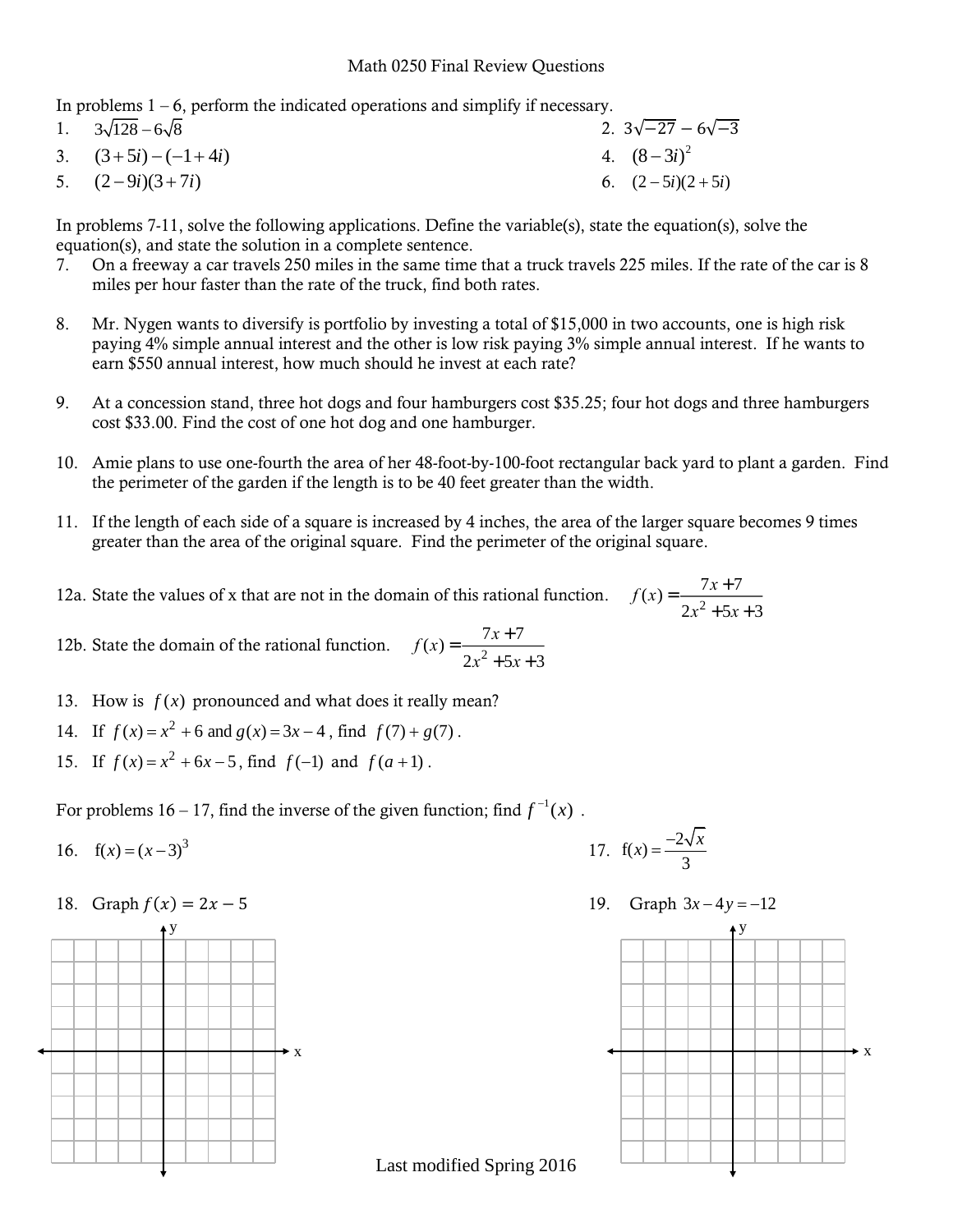## Math 0250 Final Review Questions

In problems  $1 - 6$ , perform the indicated operations and simplify if necessary.

1.  $3\sqrt{128} - 6\sqrt{8}$  2.  $3\sqrt{-27} - 6\sqrt{-3}$ 3.  $(3+5i) - (-1+4i)$ 4.  $(8-3i)^2$ 5.  $(2-9i)(3+7i)$ 6.  $(2-5i)(2+5i)$ 

In problems 7-11, solve the following applications. Define the variable(s), state the equation(s), solve the equation(s), and state the solution in a complete sentence.

- 7. On a freeway a car travels 250 miles in the same time that a truck travels 225 miles. If the rate of the car is 8 miles per hour faster than the rate of the truck, find both rates.
- 8. Mr. Nygen wants to diversify is portfolio by investing a total of \$15,000 in two accounts, one is high risk paying 4% simple annual interest and the other is low risk paying 3% simple annual interest. If he wants to earn \$550 annual interest, how much should he invest at each rate?
- 9. At a concession stand, three hot dogs and four hamburgers cost \$35.25; four hot dogs and three hamburgers cost \$33.00. Find the cost of one hot dog and one hamburger.
- 10. Amie plans to use one-fourth the area of her 48-foot-by-100-foot rectangular back yard to plant a garden. Find the perimeter of the garden if the length is to be 40 feet greater than the width.
- 11. If the length of each side of a square is increased by 4 inches, the area of the larger square becomes 9 times greater than the area of the original square. Find the perimeter of the original square.
- 12a. State the values of x that are not in the domain of this rational function. 7*x* + 7  $2x^2 + 5x + 3$
- 12b. State the domain of the rational function. 7*x* + 7  $2x^2 + 5x + 3$
- 13. How is  $f(x)$  pronounced and what does it really mean?
- 14. If  $f(x) = x^2 + 6$  and  $g(x) = 3x 4$ , find  $f(7) + g(7)$ .
- 15. If  $f(x) = x^2 + 6x 5$ , find  $f(-1)$  and  $f(a+1)$ .

For problems  $16 - 17$ , find the inverse of the given function; find  $f^{-1}(x)$ .

16.  $f(x) = (x-3)^3$ 





17.  $f(x) = \frac{-2}{x}$ 3  $f(x) = \frac{-2\sqrt{x}}{2}$ 

19. Graph  $3x-4y=-12$ 



Last modified Spring 2016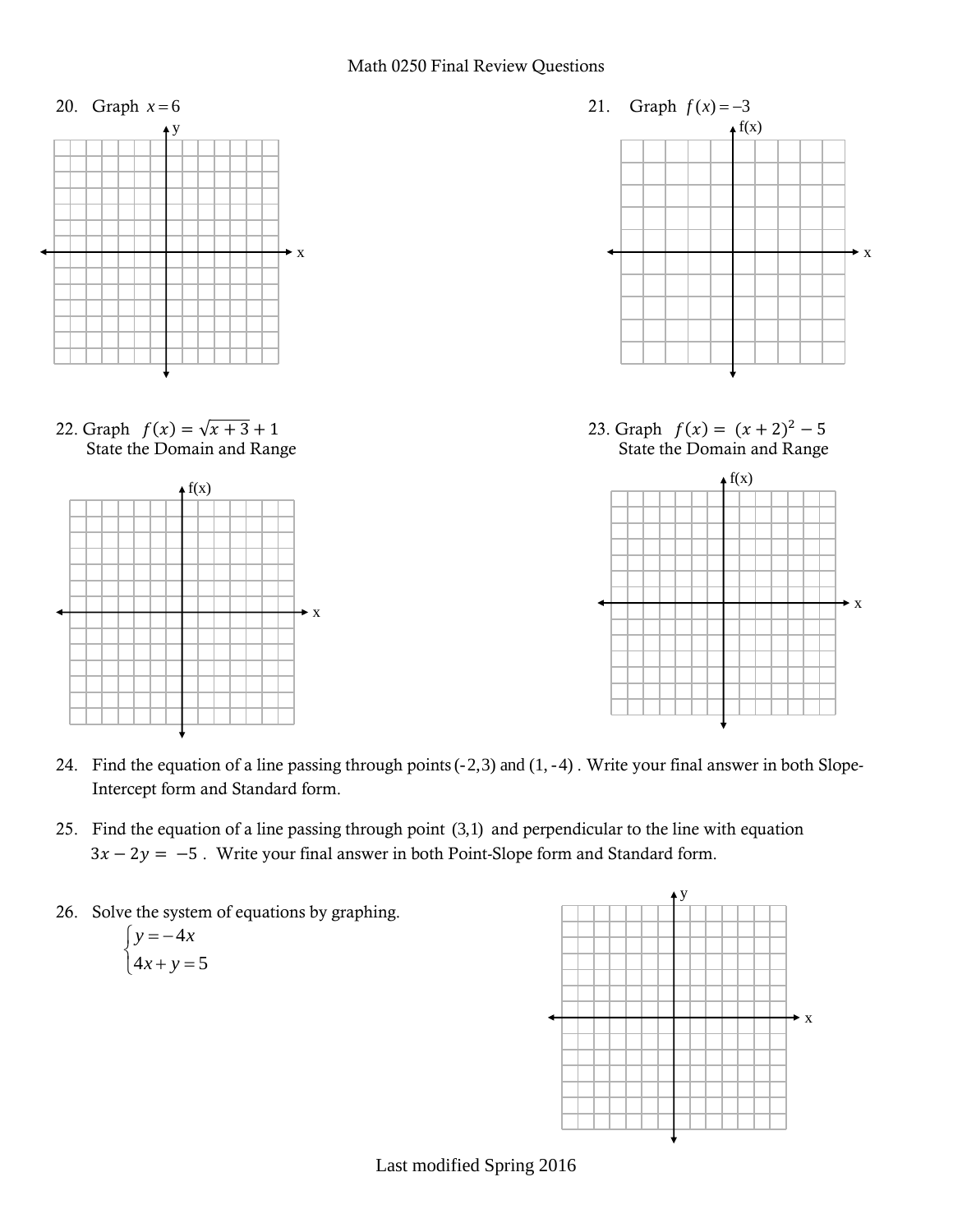

- 24. Find the equation of a line passing through points (-2,3) and (1, -4) . Write your final answer in both Slope-Intercept form and Standard form.
- 25. Find the equation of a line passing through point (3,1) and perpendicular to the line with equation  $3x - 2y = -5$ . Write your final answer in both Point-Slope form and Standard form.
- 26. Solve the system of equations by graphing.

$$
\begin{cases}\ny = -4x \\
4x + y = 5\n\end{cases}
$$



Last modified Spring 2016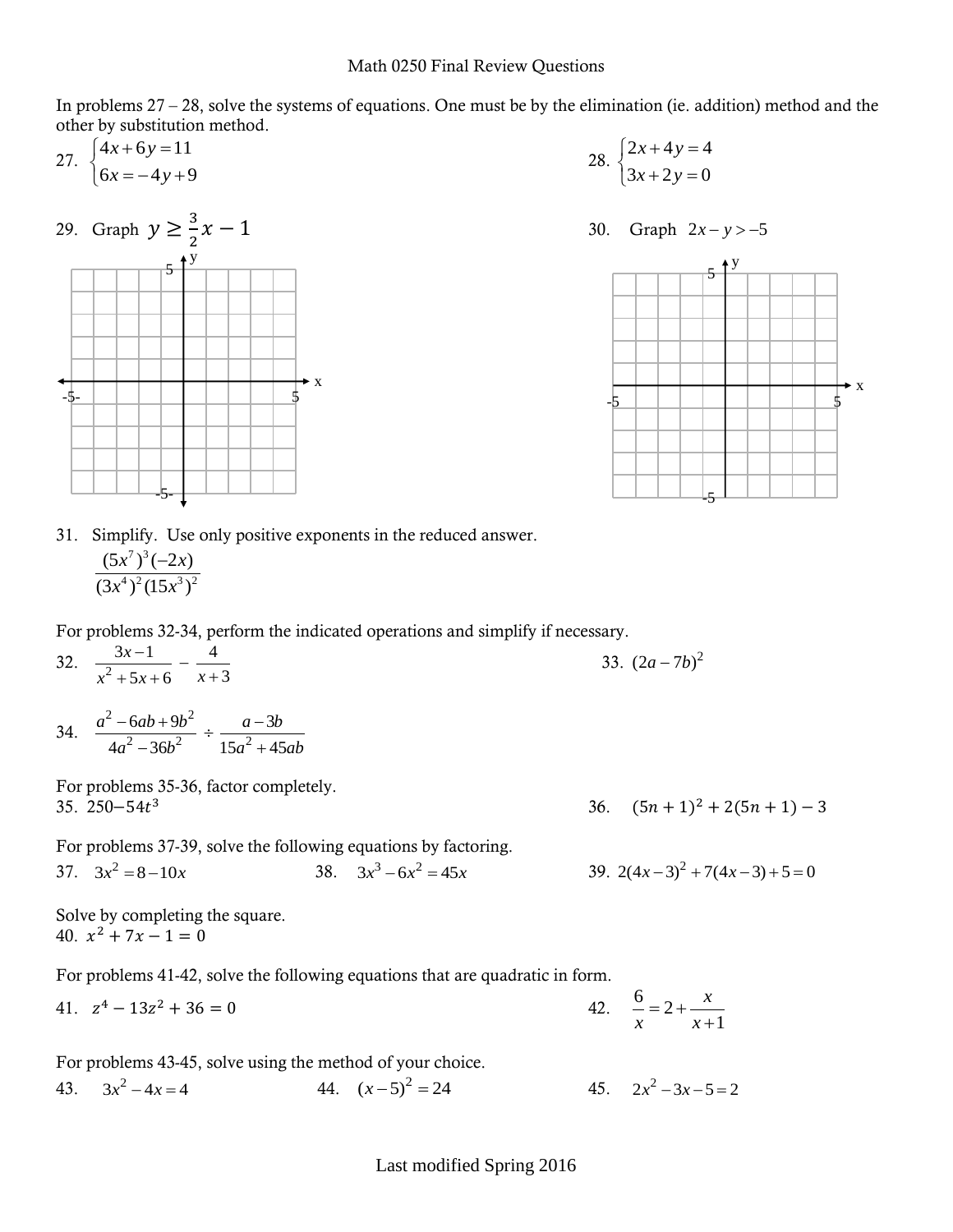In problems  $27 - 28$ , solve the systems of equations. One must be by the elimination (ie. addition) method and the other by substitution method.

27.  $\begin{cases} 4x + 6y = 11 \\ 4x - 6y = 11 \end{cases}$  $6x = -4y+9$  $x + 6y$  $\begin{cases} 4x + 6y = 1 \\ 6x = -4y \end{cases}$  $\left(6x = -4y + 9\right)$ 



28.  $\begin{cases} 2x + 4y = 4 \\ 2x - 1 \end{cases}$  $3x + 2y = 0$  $x + 4y$  $\begin{cases} 2x + 4y = 4 \\ 3x + 2y = 0 \end{cases}$  $\begin{cases} 3x + 2y = 0 \end{cases}$ 

$$
30. \quad \text{Graph } 2x - y > -5
$$



31. Simplify. Use only positive exponents in the reduced answer.  $7\sqrt{3}$  $4\sqrt{2}$  (15  $\sqrt{3}\sqrt{2}$  $(5x^7)^3(-2x)$  $(3x^4)^2(15x^3)$  $(x^7)^3(-2x)$  $(x^4)^2(15x)$  $\overline{a}$ 

For problems 32-34, perform the indicated operations and simplify if necessary.

- 32.  $\frac{1}{x^2}$  $3x-1$  4  $5x + 6$   $x + 3$ *x*  $x^2 + 5x + 6$  *x*  $\frac{3x-1}{+5x+6} - \frac{4}{x+}$ 33.  $(2a - 7b)^2$
- 34.  $^{2} - 6ab + 9h^{2}$  $\frac{3ab+3b}{2-36b^2} \div \frac{a}{15a^2}$  $6ab+9b^2$   $a-3$  $\frac{2a}{4a^2 - 36b^2} \div \frac{a}{15a^2 + 45}$  $a^2 - 6ab + 9b^2$  *a - 3b*  $rac{6ac+3c}{a^2-36b^2} \div \frac{c}{15a^2+45ab}$  $\frac{-6ab+9b^2}{a^2-36b^2} \div \frac{a-3b}{15a^2+45a^2}$

For problems 35-36, factor completely. 35.  $250 - 54t^3$ 

3 3 3 3 3 4  $(5n+1)^2 + 2(5n+1) - 3$ 

39.  $2(4x-3)^2 + 7(4x-3) + 5 = 0$ 

1 *x*

 $^{+}$ 

For problems 37-39, solve the following equations by factoring.  
37. 
$$
3x^2 = 8-10x
$$
  
38.  $3x^3 - 6x^2 = 45x$ 

Solve by completing the square. 40.  $x^2 + 7x - 1 = 0$ 

For problems 41-42, solve the following equations that are quadratic in form.

41.  $z^4 - 13z^2 + 36 = 0$  42.  $\frac{6}{2}$  = 2 *x x*  $= 2 + -$ 

For problems 43-45, solve using the method of your choice.

43.  $3x^2 - 4x = 4$ 44.  $(x-5)^2 = 24$ 45.  $2x^2 - 3x - 5 = 2$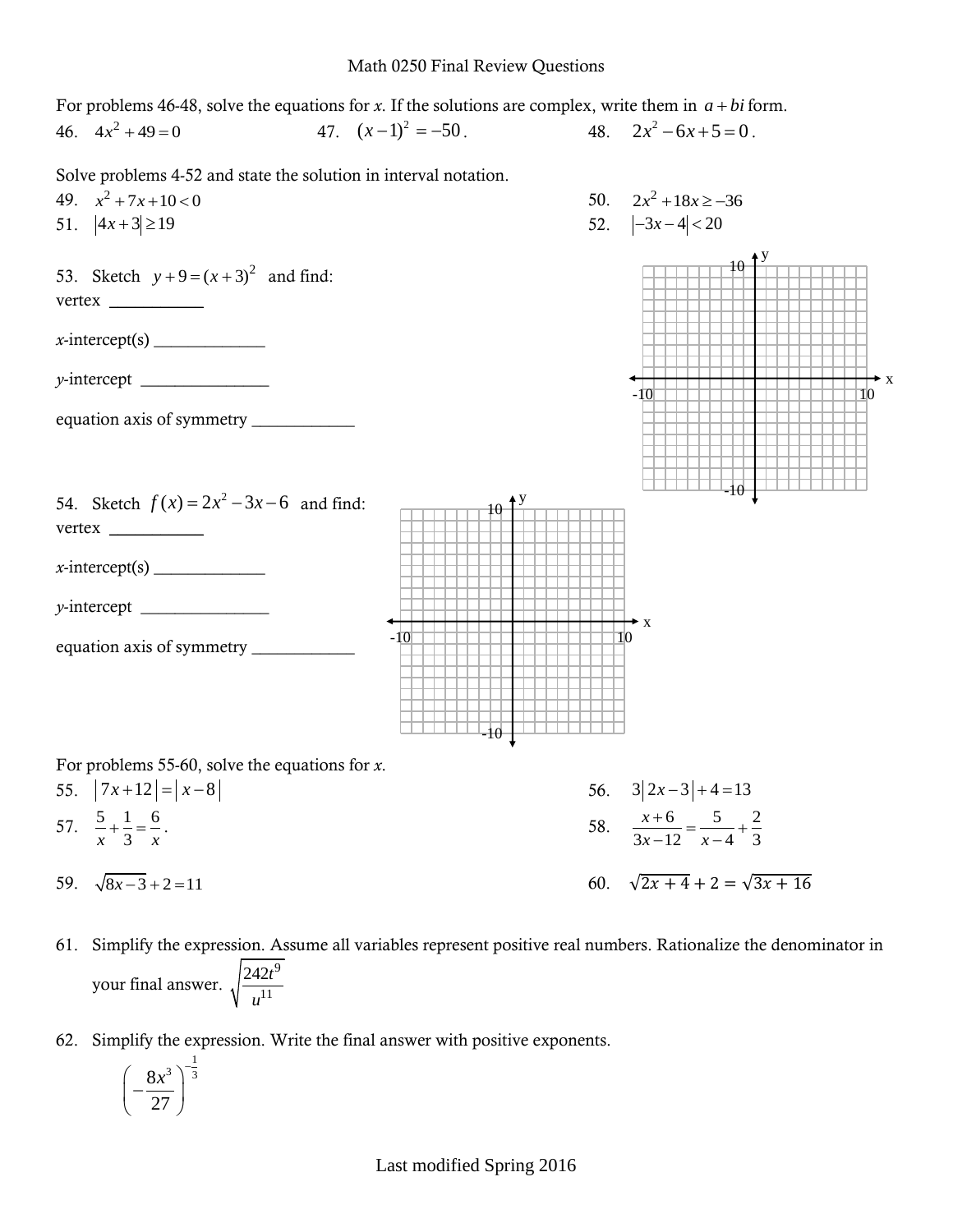## Math 0250 Final Review Questions

y

10

-10

10

For problems 46-48, solve the equations for  $x$ . If the solutions are complex, write them in  $a + bi$  form. 46.  $4x^2 + 49 = 0$ 47.  $(x-1)^2 = -50$ . 48.  $2x^2 - 6x + 5 = 0$ .

Solve problems 4-52 and state the solution in interval notation.

49.  $x^2 + 7x + 10 < 0$ 

51.  $|4x+3| \ge 19$ 

```
53. Sketch y + 9 = (x + 3)^2 and find:
vertex ___________
```
 $x\text{-intercept(s)}$ 

*y*-intercept \_\_\_\_\_\_\_\_\_\_\_\_\_\_\_

equation axis of symmetry \_\_\_\_\_\_\_\_\_\_\_\_

54. Sketch  $f(x) = 2x^2 - 3x - 6$  and find: vertex \_\_\_\_\_\_\_\_\_\_\_

 $x\text{-intercept(s)}$ 

*y*-intercept \_\_\_\_\_\_\_\_\_\_\_\_\_\_\_

equation axis of symmetry \_\_\_\_\_\_\_\_\_\_\_\_



For problems 55-60, solve the equations for *x*.

55.  $|7x+12| = |x-8|$ 56.  $3|2x-3|+4=13$ 57.  $\frac{5}{-} + \frac{1}{-} = \frac{6}{-}$ *x x* 3  $+\frac{1}{2} = -$ . 58.  $6 \t 5 \t 2$  $\frac{x-12}{-x-4}$  + 3 *x*  $\frac{x-12}{x}$  –  $\frac{x}{x}$  $\frac{+6}{12} = \frac{5}{12} + \frac{2}{3}$  $\frac{-12}{-12}$   $\frac{-}{x-4}$ 59.  $\sqrt{8x-3} + 2 = 11$ 60.  $\sqrt{2x+4} + 2 = \sqrt{3x+16}$ 

-10

- 61. Simplify the expression. Assume all variables represent positive real numbers. Rationalize the denominator in your final answer. 9 11 242*t u*
- 62. Simplify the expression. Write the final answer with positive exponents.

$$
\left(-\frac{8x^3}{27}\right)^{-\frac{1}{3}}
$$

Last modified Spring 2016